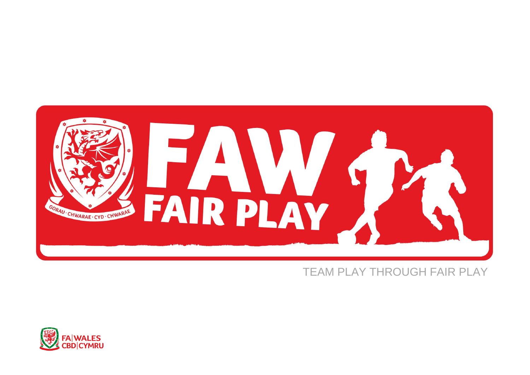

## TEAM PLAY THROUGH FAIR PLAY

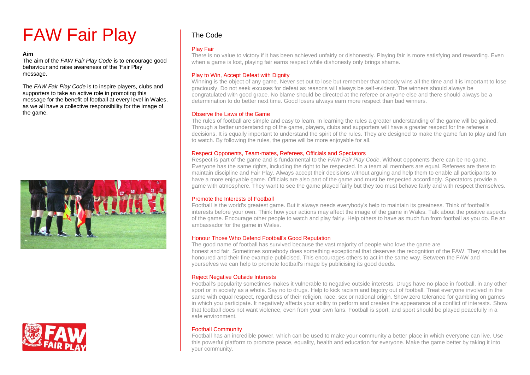# FAW Fair Play

**Aim**<br>The aim of the *FAW Fair Play Code* is to encourage good<br>behaviour and raise awareness of the 'Fair Play' behaviour and raise awareness of the 'Fair Play' message.

The *FAW Fair Play Code* is to inspire players, clubs and supporters to take an active role in promoting this message for the benefit of football at every level in Wales, as we all have a collective responsibility for the image of the game.





### The Code

#### Play Fair

There is no value to victory if it has been achieved unfairly or dishonestly. Playing fair is more satisfying and rewarding. Even when a game is lost, playing fair earns respect while dishonesty only brings shame.

#### Play to Win, Accept Defeat with Dignity

Winning is the object of any game. Never set out to lose but remember that nobody wins all the time and it is important to lose graciously. Do not seek excuses for defeat as reasons will always be self-evident. The winners should always be congratulated with good grace. No blame should be directed at the referee or anyone else and there should always be a determination to do better next time. Good losers always earn more respect than bad winners.

#### Observe the Laws of the Game

The rules of football are simple and easy to learn. In learning the rules a greater understanding of the game will be gained. Through a better understanding of the game, players, clubs and supporters will have a greater respect for the referee's decisions. It is equally important to understand the spirit of the rules. They are designed to make the game fun to play and fun to watch. By following the rules, the game will be more enjoyable for all.

#### Respect Opponents, Team-mates, Referees, Officials and Spectators

Respect is part of the game and is fundamental to the *FAW Fair Play Code*. Without opponents there can be no game. Everyone has the same rights, including the right to be respected. In a team all members are equal. Referees are there to maintain discipline and Fair Play. Always accept their decisions without arguing and help them to enable all participants to have a more enjoyable game. Officials are also part of the game and must be respected accordingly. Spectators provide a game with atmosphere. They want to see the game played fairly but they too must behave fairly and with respect themselves.

#### Promote the Interests of Football

Football is the world's greatest game. But it always needs everybody's help to maintain its greatness. Think of football's interests before your own. Think how your actions may affect the image of the game in Wales. Talk about the positive aspects of the game. Encourage other people to watch and play fairly. Help others to have as much fun from football as you do. Be an ambassador for the game in Wales.

#### Honour Those Who Defend Football's Good Reputation

The good name of football has survived because the vast majority of people who love the game are honest and fair. Sometimes somebody does something exceptional that deserves the recognition of the FAW. They should be honoured and their fine example publicised. This encourages others to act in the same way. Between the FAW and yourselves we can help to promote football's image by publicising its good deeds.

#### **Reject Negative Outside Interests**

Football's popularity sometimes makes it vulnerable to negative outside interests. Drugs have no place in football, in any other sport or in society as a whole. Say no to drugs. Help to kick racism and bigotry out of football. Treat everyone involved in the same with equal respect, regardless of their religion, race, sex or national origin. Show zero tolerance for gambling on games in which you participate. It negatively affects your ability to perform and creates the appearance of a conflict of interests. Show that football does not want violence, even from your own fans. Football is sport, and sport should be played peacefully in a safe environment.

#### Football Community

Football has an incredible power, which can be used to make your community a better place in which everyone can live. Use this powerful platform to promote peace, equality, health and education for everyone. Make the game better by taking it into your community.